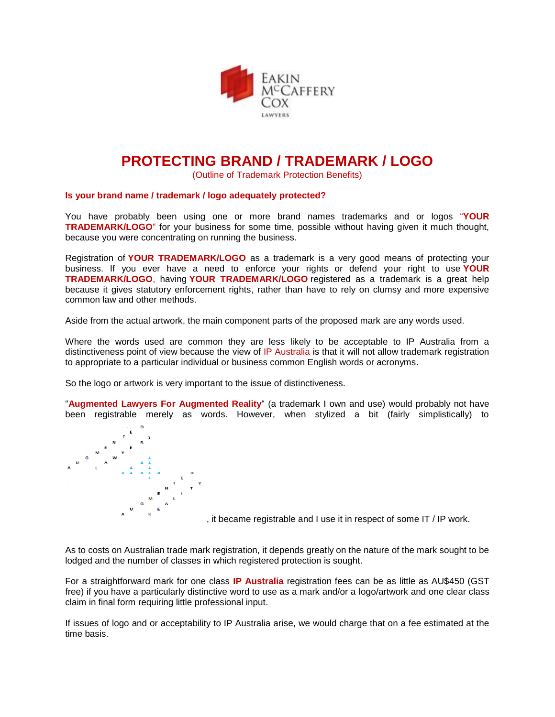

## **PROTECTING BRAND / TRADEMARK / LOGO**

(Outline of Trademark Protection Benefits)

## **Is your brand name / trademark / logo adequately protected?**

You have probably been using one or more brand names trademarks and or logos "**YOUR TRADEMARK/LOGO**" for your business for some time, possible without having given it much thought, because you were concentrating on running the business.

Registration of **YOUR TRADEMARK/LOGO** as a trademark is a very good means of protecting your business. If you ever have a need to enforce your rights or defend your right to use **YOUR TRADEMARK/LOGO**, having **YOUR TRADEMARK/LOGO** registered as a trademark is a great help because it gives statutory enforcement rights, rather than have to rely on clumsy and more expensive common law and other methods.

Aside from the actual artwork, the main component parts of the proposed mark are any words used.

Where the words used are common they are less likely to be acceptable to IP Australia from a distinctiveness point of view because the view of IP Australia is that it will not allow trademark registration to appropriate to a particular individual or business common English words or acronyms.

So the logo or artwork is very important to the issue of distinctiveness.

"**Augmented Lawyers For Augmented Reality**" (a trademark I own and use) would probably not have been registrable merely as words. However, when stylized a bit (fairly simplistically) to



, it became registrable and I use it in respect of some IT / IP work.

As to costs on Australian trade mark registration, it depends greatly on the nature of the mark sought to be lodged and the number of classes in which registered protection is sought.

For a straightforward mark for one class **IP Australia** registration fees can be as little as AU\$450 (GST free) if you have a particularly distinctive word to use as a mark and/or a logo/artwork and one clear class claim in final form requiring little professional input.

If issues of logo and or acceptability to IP Australia arise, we would charge that on a fee estimated at the time basis.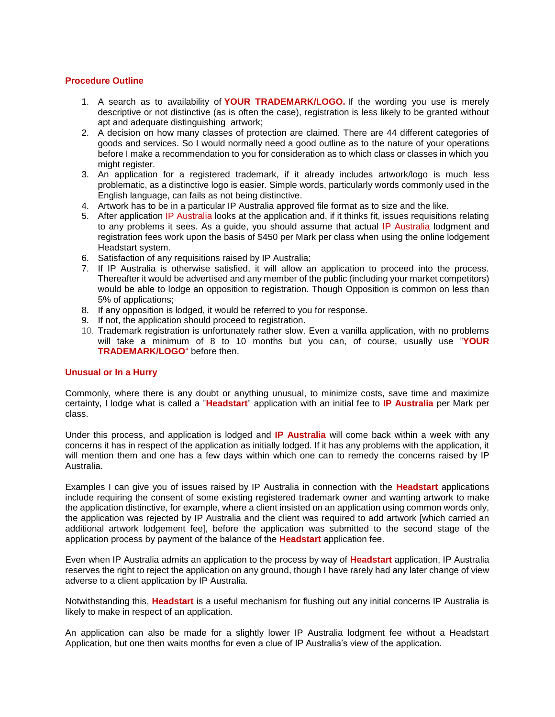## **Procedure Outline**

- 1. A search as to availability of **YOUR TRADEMARK/LOGO.** If the wording you use is merely descriptive or not distinctive (as is often the case), registration is less likely to be granted without apt and adequate distinguishing artwork;
- 2. A decision on how many classes of protection are claimed. There are 44 different categories of goods and services. So I would normally need a good outline as to the nature of your operations before I make a recommendation to you for consideration as to which class or classes in which you might register.
- 3. An application for a registered trademark, if it already includes artwork/logo is much less problematic, as a distinctive logo is easier. Simple words, particularly words commonly used in the English language, can fails as not being distinctive.
- 4. Artwork has to be in a particular IP Australia approved file format as to size and the like.
- 5. After application IP Australia looks at the application and, if it thinks fit, issues requisitions relating to any problems it sees. As a guide, you should assume that actual IP Australia lodgment and registration fees work upon the basis of \$450 per Mark per class when using the online lodgement Headstart system.
- 6. Satisfaction of any requisitions raised by IP Australia;
- 7. If IP Australia is otherwise satisfied, it will allow an application to proceed into the process. Thereafter it would be advertised and any member of the public (including your market competitors) would be able to lodge an opposition to registration. Though Opposition is common on less than 5% of applications;
- 8. If any opposition is lodged, it would be referred to you for response.
- 9. If not, the application should proceed to registration.
- 10. Trademark registration is unfortunately rather slow. Even a vanilla application, with no problems will take a minimum of 8 to 10 months but you can, of course, usually use "**YOUR TRADEMARK/LOGO**" before then.

## **Unusual or In a Hurry**

Commonly, where there is any doubt or anything unusual, to minimize costs, save time and maximize certainty, I lodge what is called a "**[Headstart](https://www.ipaustralia.gov.au/trade-marks/applying-for-a-trade-mark/how-to-apply-for-a-trade-mark/tm-headstart)**" application with an initial fee to **IP Australia** per Mark per class.

Under this process, and application is lodged and **IP Australia** will come back within a week with any concerns it has in respect of the application as initially lodged. If it has any problems with the application, it will mention them and one has a few days within which one can to remedy the concerns raised by IP Australia.

Examples I can give you of issues raised by IP Australia in connection with the **Headstart** applications include requiring the consent of some existing registered trademark owner and wanting artwork to make the application distinctive, for example, where a client insisted on an application using common words only, the application was rejected by IP Australia and the client was required to add artwork [which carried an additional artwork lodgement fee], before the application was submitted to the second stage of the application process by payment of the balance of the **Headstart** application fee.

Even when IP Australia admits an application to the process by way of **Headstart** application, IP Australia reserves the right to reject the application on any ground, though I have rarely had any later change of view adverse to a client application by IP Australia.

Notwithstanding this, **Headstart** is a useful mechanism for flushing out any initial concerns IP Australia is likely to make in respect of an application.

An application can also be made for a slightly lower IP Australia lodgment fee without a Headstart Application, but one then waits months for even a clue of IP Australia's view of the application.